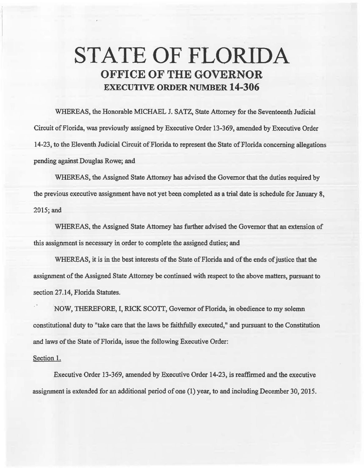## **STATE OF FLORIDA OFFICE OF THE GOVERNOR EXECUTIVE ORDER NUMBER 14-306**

WHEREAS, the Honorable MICHAEL J. SATZ, State Attorney for the Seventeenth Judicial Circuit of Florida, was previously assigned by Executive Order 13-369, amended by Executive Order 14-23, to the Eleventh Judicial Circuit of Florida to represent the State of Florida concerning allegations pending against Douglas Rowe; and

WHEREAS, the Assigned State Attorney has advised the Governor that the duties required by the previous executive assigmnent have not yet been completed as a trial date is schedule for January 8, 2015;and

WHEREAS, the Assigned State Attorney has further advised the Governor that an extension of this assignment is necessary in order to complete the assigned duties; and

WHEREAS, it is in the best interests of the State of Florida and of the ends of justice that the assignment of the Assigned State Attorney be continued with respect to the above matters, pursuant to section 27.14, Florida Statutes.

·NOW, THEREFORE, I, RICK SCOTT, Governor of Florida, in obedience to my solemn constitutional duty to "take care that the laws be faithfuUy executed," and pursuant to the Constitution and laws of the State of Florida, issue the following Executive Order:

## Section 1.

Executive Order 13-369, amended by Executive Order 14-23, is reaffirmed and the executive assignment is extended for an additional period of one (1) year, to and including December 30, 2015.